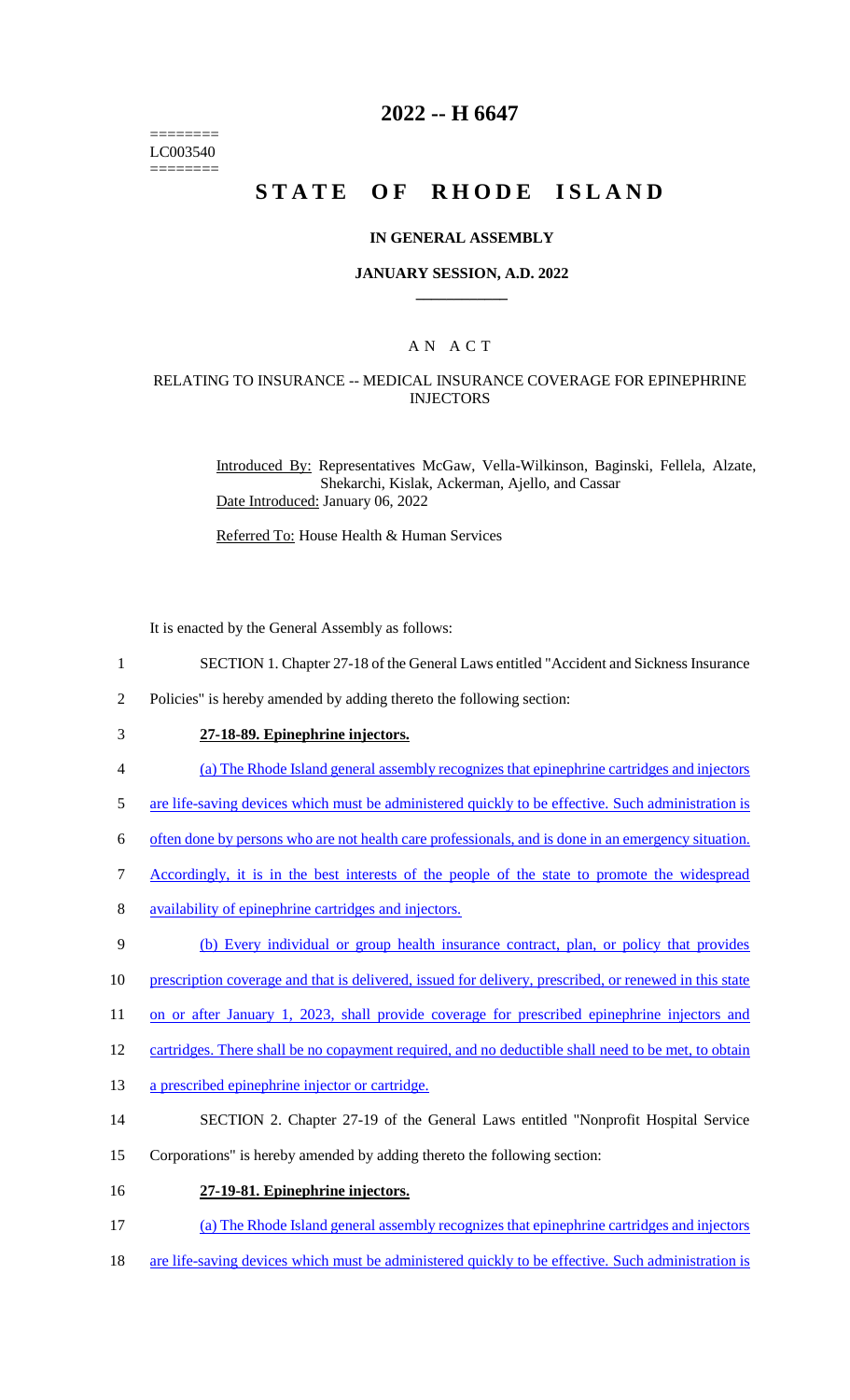======== LC003540 ========

## **2022 -- H 6647**

# **STATE OF RHODE ISLAND**

### **IN GENERAL ASSEMBLY**

### **JANUARY SESSION, A.D. 2022 \_\_\_\_\_\_\_\_\_\_\_\_**

## A N A C T

## RELATING TO INSURANCE -- MEDICAL INSURANCE COVERAGE FOR EPINEPHRINE INJECTORS

Introduced By: Representatives McGaw, Vella-Wilkinson, Baginski, Fellela, Alzate, Shekarchi, Kislak, Ackerman, Ajello, and Cassar Date Introduced: January 06, 2022

Referred To: House Health & Human Services

It is enacted by the General Assembly as follows:

- 1 SECTION 1. Chapter 27-18 of the General Laws entitled "Accident and Sickness Insurance
- 2 Policies" is hereby amended by adding thereto the following section:
- 

## 3 **27-18-89. Epinephrine injectors.**

- 4 (a) The Rhode Island general assembly recognizes that epinephrine cartridges and injectors
- 5 are life-saving devices which must be administered quickly to be effective. Such administration is
- 6 often done by persons who are not health care professionals, and is done in an emergency situation.
- 7 Accordingly, it is in the best interests of the people of the state to promote the widespread
- 8 availability of epinephrine cartridges and injectors.
- 9 (b) Every individual or group health insurance contract, plan, or policy that provides
- 10 prescription coverage and that is delivered, issued for delivery, prescribed, or renewed in this state
- 11 on or after January 1, 2023, shall provide coverage for prescribed epinephrine injectors and
- 12 cartridges. There shall be no copayment required, and no deductible shall need to be met, to obtain
- 13 a prescribed epinephrine injector or cartridge.
- 14 SECTION 2. Chapter 27-19 of the General Laws entitled "Nonprofit Hospital Service
- 15 Corporations" is hereby amended by adding thereto the following section:
- 16 **27-19-81. Epinephrine injectors.**
- 17 (a) The Rhode Island general assembly recognizes that epinephrine cartridges and injectors
- 18 are life-saving devices which must be administered quickly to be effective. Such administration is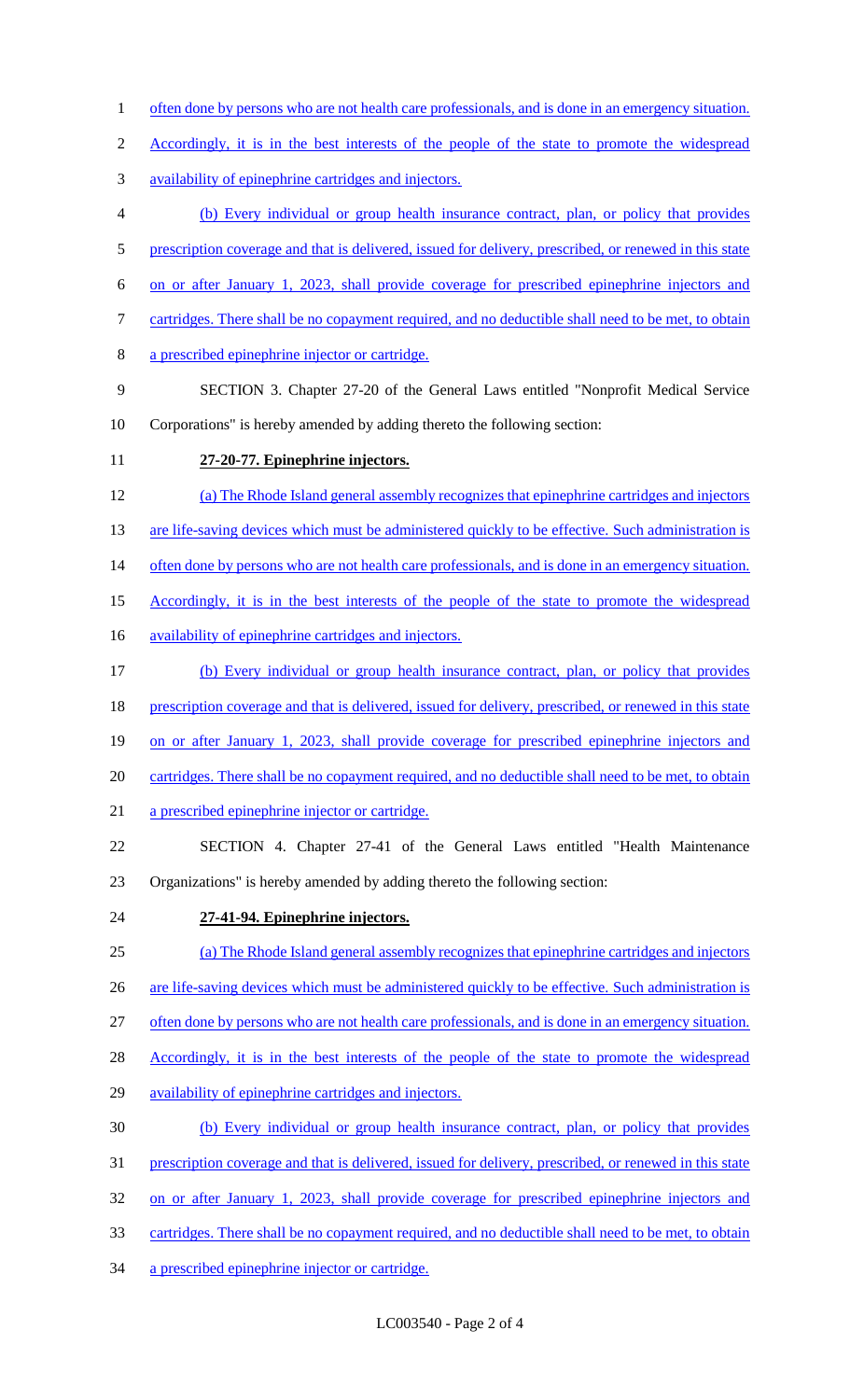- 1 often done by persons who are not health care professionals, and is done in an emergency situation.
- 2 Accordingly, it is in the best interests of the people of the state to promote the widespread
- availability of epinephrine cartridges and injectors.
- (b) Every individual or group health insurance contract, plan, or policy that provides
- 5 prescription coverage and that is delivered, issued for delivery, prescribed, or renewed in this state
- on or after January 1, 2023, shall provide coverage for prescribed epinephrine injectors and
- 7 cartridges. There shall be no copayment required, and no deductible shall need to be met, to obtain
- a prescribed epinephrine injector or cartridge.
- SECTION 3. Chapter 27-20 of the General Laws entitled "Nonprofit Medical Service
- Corporations" is hereby amended by adding thereto the following section:
- **27-20-77. Epinephrine injectors.**
- (a) The Rhode Island general assembly recognizes that epinephrine cartridges and injectors
- 13 are life-saving devices which must be administered quickly to be effective. Such administration is
- 14 often done by persons who are not health care professionals, and is done in an emergency situation.
- 15 Accordingly, it is in the best interests of the people of the state to promote the widespread
- 16 availability of epinephrine cartridges and injectors.
- (b) Every individual or group health insurance contract, plan, or policy that provides
- 18 prescription coverage and that is delivered, issued for delivery, prescribed, or renewed in this state
- 19 on or after January 1, 2023, shall provide coverage for prescribed epinephrine injectors and
- cartridges. There shall be no copayment required, and no deductible shall need to be met, to obtain
- a prescribed epinephrine injector or cartridge.
- SECTION 4. Chapter 27-41 of the General Laws entitled "Health Maintenance Organizations" is hereby amended by adding thereto the following section:
- **27-41-94. Epinephrine injectors.**
- (a) The Rhode Island general assembly recognizes that epinephrine cartridges and injectors
- 26 are life-saving devices which must be administered quickly to be effective. Such administration is
- often done by persons who are not health care professionals, and is done in an emergency situation.
- 28 Accordingly, it is in the best interests of the people of the state to promote the widespread
- availability of epinephrine cartridges and injectors.
- (b) Every individual or group health insurance contract, plan, or policy that provides
- prescription coverage and that is delivered, issued for delivery, prescribed, or renewed in this state
- on or after January 1, 2023, shall provide coverage for prescribed epinephrine injectors and
- cartridges. There shall be no copayment required, and no deductible shall need to be met, to obtain
- a prescribed epinephrine injector or cartridge.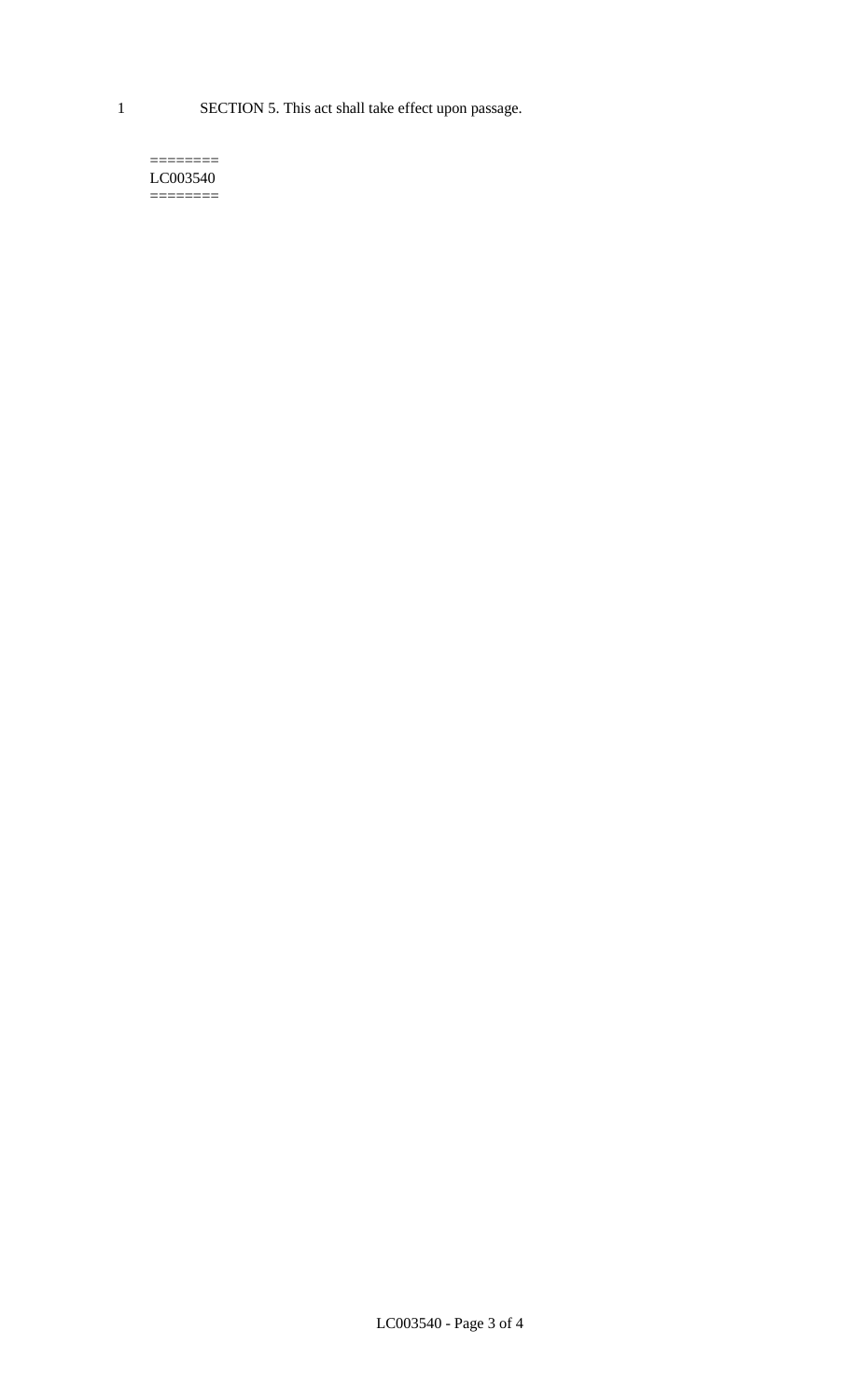1 SECTION 5. This act shall take effect upon passage.

#### $=$ LC003540  $=$